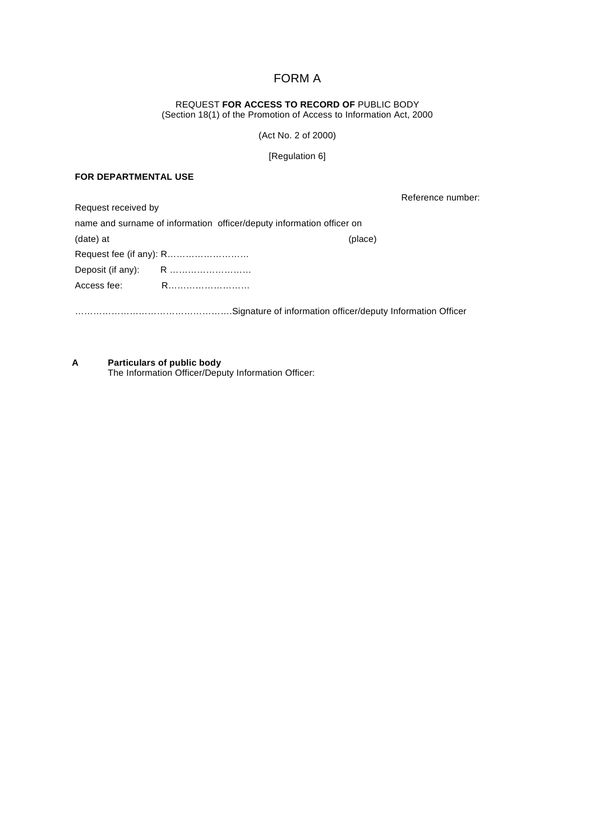# FORM A

REQUEST **FOR ACCESS TO RECORD OF** PUBLIC BODY (Section 18(1) of the Promotion of Access to Information Act, 2000

(Act No. 2 of 2000)

[Regulation 6]

#### **FOR DEPARTMENTAL USE**

Reference number:

| Request received by |                                                                       |         |
|---------------------|-----------------------------------------------------------------------|---------|
|                     | name and surname of information officer/deputy information officer on |         |
| (date) at           |                                                                       | (place) |
|                     |                                                                       |         |
|                     |                                                                       |         |
| Access fee:         |                                                                       |         |
|                     |                                                                       |         |
|                     |                                                                       |         |

**A Particulars of public body** The Information Officer/Deputy Information Officer: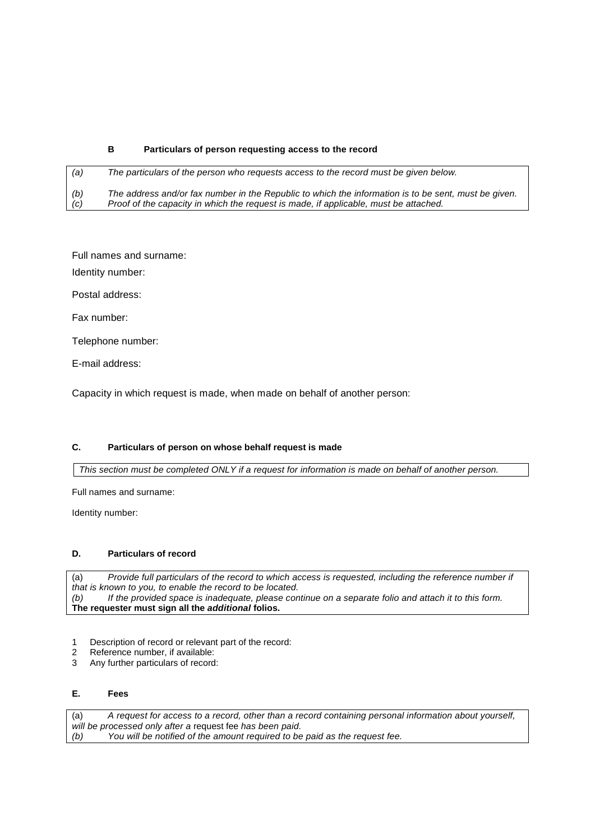#### **B Particulars of person requesting access to the record**

*(a) The particulars of the person who requests access to the record must be given below. (b) The address and/or fax number in the Republic to which the information is to be sent, must be given. (c) Proof of the capacity in which the request is made, if applicable, must be attached.*

Full names and surname:

Identity number:

Postal address:

Fax number:

Telephone number:

E-mail address:

Capacity in which request is made, when made on behalf of another person:

#### **C. Particulars of person on whose behalf request is made**

*This section must be completed ONLY if a request for information is made on behalf of another person.*

Full names and surname:

Identity number:

#### **D. Particulars of record**

(a) *Provide full particulars of the record to which access is requested, including the reference number if that is known to you, to enable the record to be located. (b) If the provided space is inadequate, please continue on a separate folio and attach it to this form.*  **The requester must sign all the** *additional* **folios.**

- 1 Description of record or relevant part of the record:
- 2 Reference number, if available:
- 3 Any further particulars of record:

## **E. Fees**

(a) *A request for access to a record, other than a record containing personal information about yourself, will be processed only after a request fee has been paid.*<br>(b) You will be notified of the amount required to be You will be notified of the amount required to be paid as the request fee.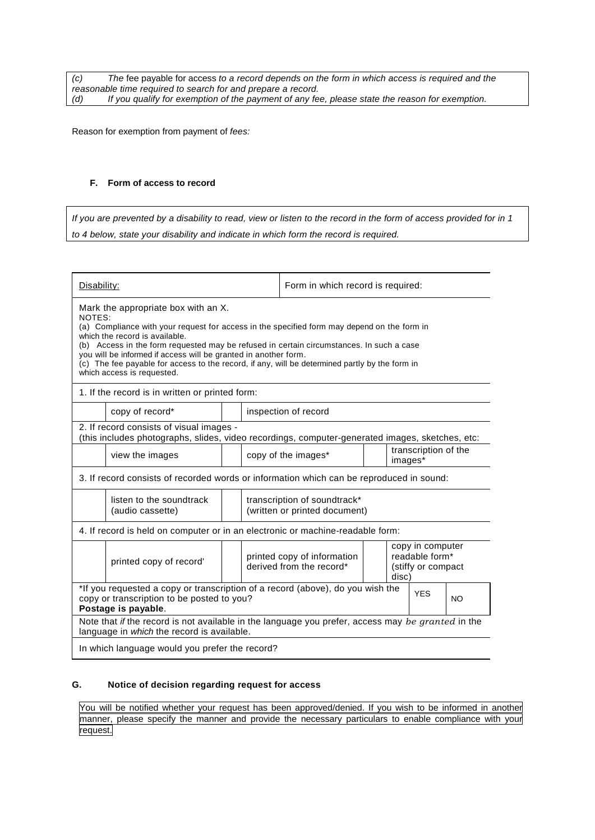*(c) The* fee payable for access *to a record depends on the form in which access is required and the reasonable time required to search for and prepare a record. (d) If you qualify for exemption of the payment of any fee, please state the reason for exemption.*

Reason for exemption from payment of *fees:*

#### **F. Form of access to record**

*If you are prevented by a disability to read, view or listen to the record in the form of access provided for in 1 to 4 below, state your disability and indicate in which form the record is required.*

| Disability:                                                                                                                                                                                                                                                                                                                                                                                                                                                                   | Form in which record is required: |                                                               |  |                                                                   |  |  |  |  |  |
|-------------------------------------------------------------------------------------------------------------------------------------------------------------------------------------------------------------------------------------------------------------------------------------------------------------------------------------------------------------------------------------------------------------------------------------------------------------------------------|-----------------------------------|---------------------------------------------------------------|--|-------------------------------------------------------------------|--|--|--|--|--|
| Mark the appropriate box with an X.<br>NOTES:<br>(a) Compliance with your request for access in the specified form may depend on the form in<br>which the record is available.<br>(b) Access in the form requested may be refused in certain circumstances. In such a case<br>you will be informed if access will be granted in another form.<br>(c) The fee payable for access to the record, if any, will be determined partly by the form in<br>which access is requested. |                                   |                                                               |  |                                                                   |  |  |  |  |  |
| 1. If the record is in written or printed form:                                                                                                                                                                                                                                                                                                                                                                                                                               |                                   |                                                               |  |                                                                   |  |  |  |  |  |
| copy of record*                                                                                                                                                                                                                                                                                                                                                                                                                                                               |                                   | inspection of record                                          |  |                                                                   |  |  |  |  |  |
| 2. If record consists of visual images -<br>(this includes photographs, slides, video recordings, computer-generated images, sketches, etc:                                                                                                                                                                                                                                                                                                                                   |                                   |                                                               |  |                                                                   |  |  |  |  |  |
| view the images                                                                                                                                                                                                                                                                                                                                                                                                                                                               |                                   | transcription of the<br>copy of the images*<br>images*        |  |                                                                   |  |  |  |  |  |
| 3. If record consists of recorded words or information which can be reproduced in sound:                                                                                                                                                                                                                                                                                                                                                                                      |                                   |                                                               |  |                                                                   |  |  |  |  |  |
| listen to the soundtrack<br>(audio cassette)                                                                                                                                                                                                                                                                                                                                                                                                                                  |                                   | transcription of soundtrack*<br>(written or printed document) |  |                                                                   |  |  |  |  |  |
| 4. If record is held on computer or in an electronic or machine-readable form:                                                                                                                                                                                                                                                                                                                                                                                                |                                   |                                                               |  |                                                                   |  |  |  |  |  |
| printed copy of record'                                                                                                                                                                                                                                                                                                                                                                                                                                                       |                                   | printed copy of information<br>derived from the record*       |  | copy in computer<br>readable form*<br>(stiffy or compact<br>disc) |  |  |  |  |  |
| *If you requested a copy or transcription of a record (above), do you wish the<br>YFS<br>NO.                                                                                                                                                                                                                                                                                                                                                                                  |                                   |                                                               |  |                                                                   |  |  |  |  |  |
| copy or transcription to be posted to you?<br>Postage is payable.                                                                                                                                                                                                                                                                                                                                                                                                             |                                   |                                                               |  |                                                                   |  |  |  |  |  |
| Note that if the record is not available in the language you prefer, access may be granted in the<br>language in which the record is available.                                                                                                                                                                                                                                                                                                                               |                                   |                                                               |  |                                                                   |  |  |  |  |  |
| In which language would you prefer the record?                                                                                                                                                                                                                                                                                                                                                                                                                                |                                   |                                                               |  |                                                                   |  |  |  |  |  |

## **G. Notice of decision regarding request for access**

You will be notified whether your request has been approved/denied. If you wish to be informed in another manner, please specify the manner and provide the necessary particulars to enable compliance with your request.